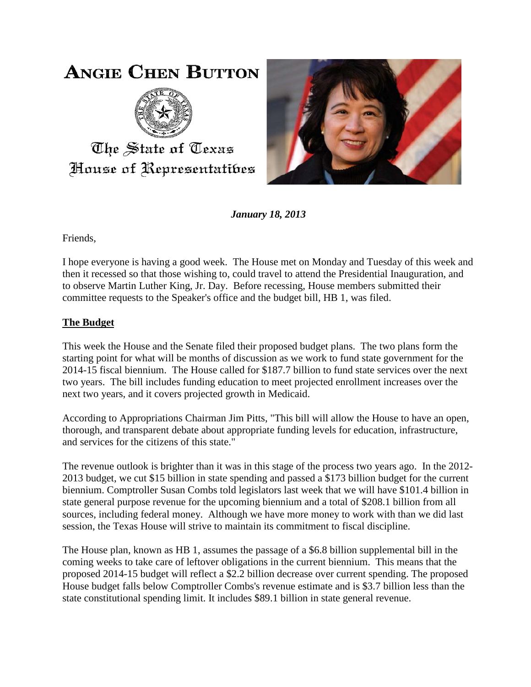# **ANGIE CHEN BUTTON**



The State of Texas House of Representatibes



*January 18, 2013*

Friends,

I hope everyone is having a good week. The House met on Monday and Tuesday of this week and then it recessed so that those wishing to, could travel to attend the Presidential Inauguration, and to observe Martin Luther King, Jr. Day. Before recessing, House members submitted their committee requests to the Speaker's office and the budget bill, HB 1, was filed.

## **The Budget**

This week the House and the Senate filed their proposed budget plans. The two plans form the starting point for what will be months of discussion as we work to fund state government for the 2014-15 fiscal biennium. The House called for \$187.7 billion to fund state services over the next two years. The bill includes funding education to meet projected enrollment increases over the next two years, and it covers projected growth in Medicaid.

According to Appropriations Chairman Jim Pitts, "This bill will allow the House to have an open, thorough, and transparent debate about appropriate funding levels for education, infrastructure, and services for the citizens of this state."

The revenue outlook is brighter than it was in this stage of the process two years ago. In the 2012- 2013 budget, we cut \$15 billion in state spending and passed a \$173 billion budget for the current biennium. Comptroller Susan Combs told legislators last week that we will have \$101.4 billion in state general purpose revenue for the upcoming biennium and a total of \$208.1 billion from all sources, including federal money. Although we have more money to work with than we did last session, the Texas House will strive to maintain its commitment to fiscal discipline.

The House plan, known as HB 1, assumes the passage of a \$6.8 billion supplemental bill in the coming weeks to take care of leftover obligations in the current biennium. This means that the proposed 2014-15 budget will reflect a \$2.2 billion decrease over current spending. The proposed House budget falls below Comptroller Combs's revenue estimate and is \$3.7 billion less than the state constitutional spending limit. It includes \$89.1 billion in state general revenue.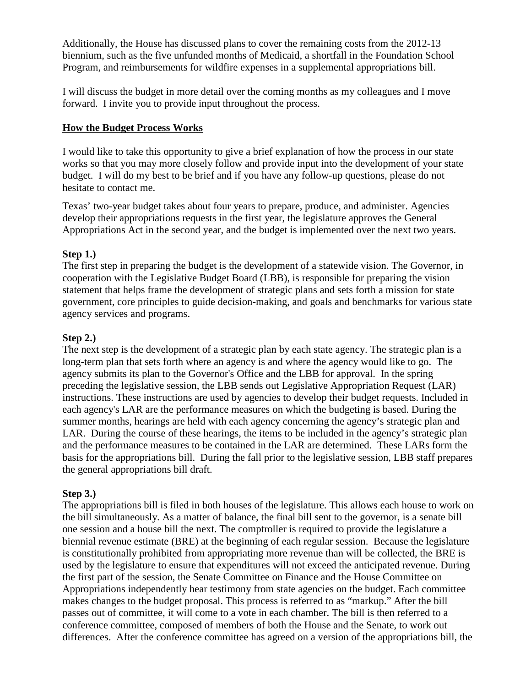Additionally, the House has discussed plans to cover the remaining costs from the 2012-13 biennium, such as the five unfunded months of Medicaid, a shortfall in the Foundation School Program, and reimbursements for wildfire expenses in a supplemental appropriations bill.

I will discuss the budget in more detail over the coming months as my colleagues and I move forward. I invite you to provide input throughout the process.

### **How the Budget Process Works**

I would like to take this opportunity to give a brief explanation of how the process in our state works so that you may more closely follow and provide input into the development of your state budget. I will do my best to be brief and if you have any follow-up questions, please do not hesitate to contact me.

Texas' two-year budget takes about four years to prepare, produce, and administer. Agencies develop their appropriations requests in the first year, the legislature approves the General Appropriations Act in the second year, and the budget is implemented over the next two years.

#### **Step 1.)**

The first step in preparing the budget is the development of a statewide vision. The Governor, in cooperation with the Legislative Budget Board (LBB), is responsible for preparing the vision statement that helps frame the development of strategic plans and sets forth a mission for state government, core principles to guide decision-making, and goals and benchmarks for various state agency services and programs.

### **Step 2.)**

The next step is the development of a strategic plan by each state agency. The strategic plan is a long-term plan that sets forth where an agency is and where the agency would like to go. The agency submits its plan to the Governor's Office and the LBB for approval. In the spring preceding the legislative session, the LBB sends out Legislative Appropriation Request (LAR) instructions. These instructions are used by agencies to develop their budget requests. Included in each agency's LAR are the performance measures on which the budgeting is based. During the summer months, hearings are held with each agency concerning the agency's strategic plan and LAR. During the course of these hearings, the items to be included in the agency's strategic plan and the performance measures to be contained in the LAR are determined. These LARs form the basis for the appropriations bill. During the fall prior to the legislative session, LBB staff prepares the general appropriations bill draft.

#### **Step 3.)**

The appropriations bill is filed in both houses of the legislature. This allows each house to work on the bill simultaneously. As a matter of balance, the final bill sent to the governor, is a senate bill one session and a house bill the next. The comptroller is required to provide the legislature a biennial revenue estimate (BRE) at the beginning of each regular session. Because the legislature is constitutionally prohibited from appropriating more revenue than will be collected, the BRE is used by the legislature to ensure that expenditures will not exceed the anticipated revenue. During the first part of the session, the Senate Committee on Finance and the House Committee on Appropriations independently hear testimony from state agencies on the budget. Each committee makes changes to the budget proposal. This process is referred to as "markup." After the bill passes out of committee, it will come to a vote in each chamber. The bill is then referred to a conference committee, composed of members of both the House and the Senate, to work out differences. After the conference committee has agreed on a version of the appropriations bill, the